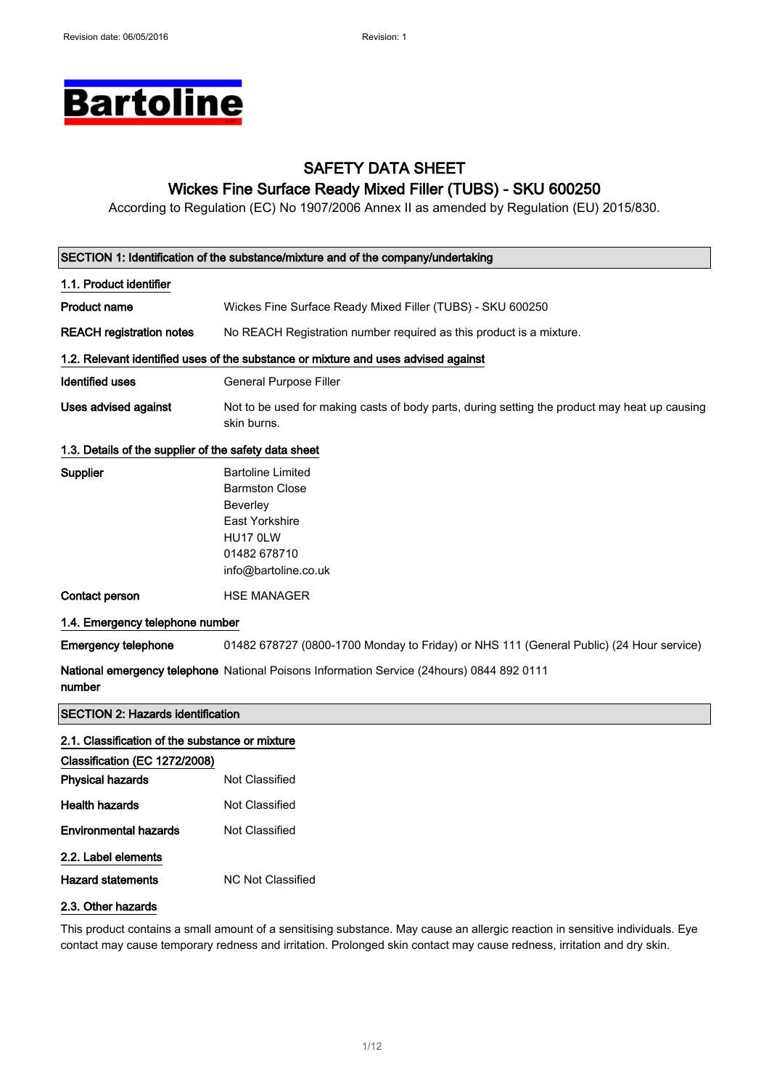# **Bartoline**

### SAFETY DATA SHEET Wickes Fine Surface Ready Mixed Filler (TUBS) - SKU 600250

According to Regulation (EC) No 1907/2006 Annex II as amended by Regulation (EU) 2015/830.

| SECTION 1: Identification of the substance/mixture and of the company/undertaking |                                                                                                                                                   |  |
|-----------------------------------------------------------------------------------|---------------------------------------------------------------------------------------------------------------------------------------------------|--|
| 1.1. Product identifier                                                           |                                                                                                                                                   |  |
| <b>Product name</b>                                                               | Wickes Fine Surface Ready Mixed Filler (TUBS) - SKU 600250                                                                                        |  |
| <b>REACH registration notes</b>                                                   | No REACH Registration number required as this product is a mixture.                                                                               |  |
|                                                                                   | 1.2. Relevant identified uses of the substance or mixture and uses advised against                                                                |  |
| <b>Identified uses</b>                                                            | General Purpose Filler                                                                                                                            |  |
| <b>Uses advised against</b>                                                       | Not to be used for making casts of body parts, during setting the product may heat up causing<br>skin burns.                                      |  |
| 1.3. Details of the supplier of the safety data sheet                             |                                                                                                                                                   |  |
| Supplier                                                                          | <b>Bartoline Limited</b><br><b>Barmston Close</b><br><b>Beverley</b><br><b>East Yorkshire</b><br>HU17 0LW<br>01482 678710<br>info@bartoline.co.uk |  |
| <b>Contact person</b>                                                             | <b>HSE MANAGER</b>                                                                                                                                |  |
| 1.4. Emergency telephone number                                                   |                                                                                                                                                   |  |
| <b>Emergency telephone</b>                                                        | 01482 678727 (0800-1700 Monday to Friday) or NHS 111 (General Public) (24 Hour service)                                                           |  |
| number                                                                            | National emergency telephone National Poisons Information Service (24hours) 0844 892 0111                                                         |  |
| <b>SECTION 2: Hazards identification</b>                                          |                                                                                                                                                   |  |
| 2.1. Classification of the substance or mixture                                   |                                                                                                                                                   |  |
| Classification (EC 1272/2008)                                                     |                                                                                                                                                   |  |
| <b>Physical hazards</b>                                                           | Not Classified                                                                                                                                    |  |
| <b>Health hazards</b>                                                             | Not Classified                                                                                                                                    |  |

| Environmental hazards | Not Classified |
|-----------------------|----------------|
| 2.2. Label elements   |                |

Hazard statements MC Not Classified

### 2.3. Other hazards

This product contains a small amount of a sensitising substance. May cause an allergic reaction in sensitive individuals. Eye contact may cause temporary redness and irritation. Prolonged skin contact may cause redness, irritation and dry skin.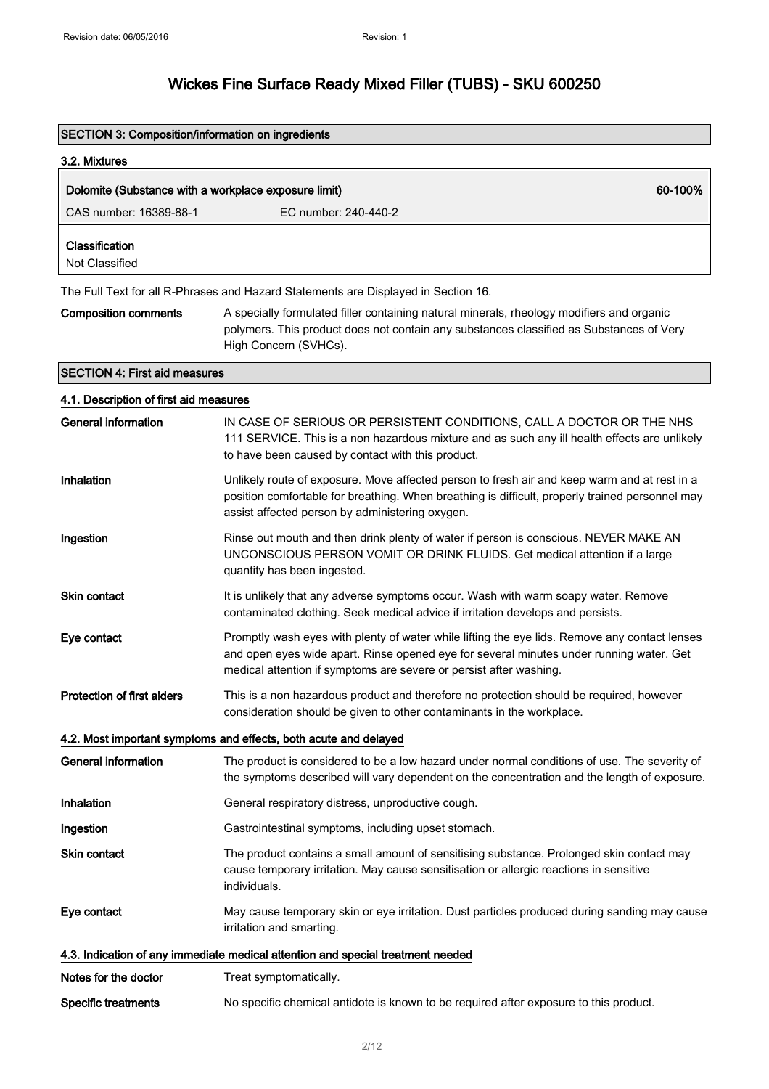| <b>SECTION 3: Composition/information on ingredients</b>                           |                                                                                                                                                                                                                                                                |  |
|------------------------------------------------------------------------------------|----------------------------------------------------------------------------------------------------------------------------------------------------------------------------------------------------------------------------------------------------------------|--|
| 3.2. Mixtures                                                                      |                                                                                                                                                                                                                                                                |  |
| 60-100%<br>Dolomite (Substance with a workplace exposure limit)                    |                                                                                                                                                                                                                                                                |  |
| CAS number: 16389-88-1                                                             | EC number: 240-440-2                                                                                                                                                                                                                                           |  |
| Classification<br>Not Classified                                                   |                                                                                                                                                                                                                                                                |  |
| The Full Text for all R-Phrases and Hazard Statements are Displayed in Section 16. |                                                                                                                                                                                                                                                                |  |
| <b>Composition comments</b>                                                        | A specially formulated filler containing natural minerals, rheology modifiers and organic<br>polymers. This product does not contain any substances classified as Substances of Very<br>High Concern (SVHCs).                                                  |  |
| <b>SECTION 4: First aid measures</b>                                               |                                                                                                                                                                                                                                                                |  |
| 4.1. Description of first aid measures                                             |                                                                                                                                                                                                                                                                |  |
| <b>General information</b>                                                         | IN CASE OF SERIOUS OR PERSISTENT CONDITIONS, CALL A DOCTOR OR THE NHS<br>111 SERVICE. This is a non hazardous mixture and as such any ill health effects are unlikely<br>to have been caused by contact with this product.                                     |  |
| Inhalation                                                                         | Unlikely route of exposure. Move affected person to fresh air and keep warm and at rest in a<br>position comfortable for breathing. When breathing is difficult, properly trained personnel may<br>assist affected person by administering oxygen.             |  |
| Ingestion                                                                          | Rinse out mouth and then drink plenty of water if person is conscious. NEVER MAKE AN<br>UNCONSCIOUS PERSON VOMIT OR DRINK FLUIDS. Get medical attention if a large<br>quantity has been ingested.                                                              |  |
| <b>Skin contact</b>                                                                | It is unlikely that any adverse symptoms occur. Wash with warm soapy water. Remove<br>contaminated clothing. Seek medical advice if irritation develops and persists.                                                                                          |  |
| Eye contact                                                                        | Promptly wash eyes with plenty of water while lifting the eye lids. Remove any contact lenses<br>and open eyes wide apart. Rinse opened eye for several minutes under running water. Get<br>medical attention if symptoms are severe or persist after washing. |  |
| <b>Protection of first aiders</b>                                                  | This is a non hazardous product and therefore no protection should be required, however<br>consideration should be given to other contaminants in the workplace.                                                                                               |  |
|                                                                                    | 4.2. Most important symptoms and effects, both acute and delayed                                                                                                                                                                                               |  |
| <b>General information</b>                                                         | The product is considered to be a low hazard under normal conditions of use. The severity of<br>the symptoms described will vary dependent on the concentration and the length of exposure.                                                                    |  |
| Inhalation                                                                         | General respiratory distress, unproductive cough.                                                                                                                                                                                                              |  |
| Ingestion                                                                          | Gastrointestinal symptoms, including upset stomach.                                                                                                                                                                                                            |  |
| Skin contact                                                                       | The product contains a small amount of sensitising substance. Prolonged skin contact may<br>cause temporary irritation. May cause sensitisation or allergic reactions in sensitive<br>individuals.                                                             |  |
| Eye contact                                                                        | May cause temporary skin or eye irritation. Dust particles produced during sanding may cause<br>irritation and smarting.                                                                                                                                       |  |
|                                                                                    | 4.3. Indication of any immediate medical attention and special treatment needed                                                                                                                                                                                |  |
| Notes for the doctor                                                               | Treat symptomatically.                                                                                                                                                                                                                                         |  |
| <b>Specific treatments</b>                                                         | No specific chemical antidote is known to be required after exposure to this product.                                                                                                                                                                          |  |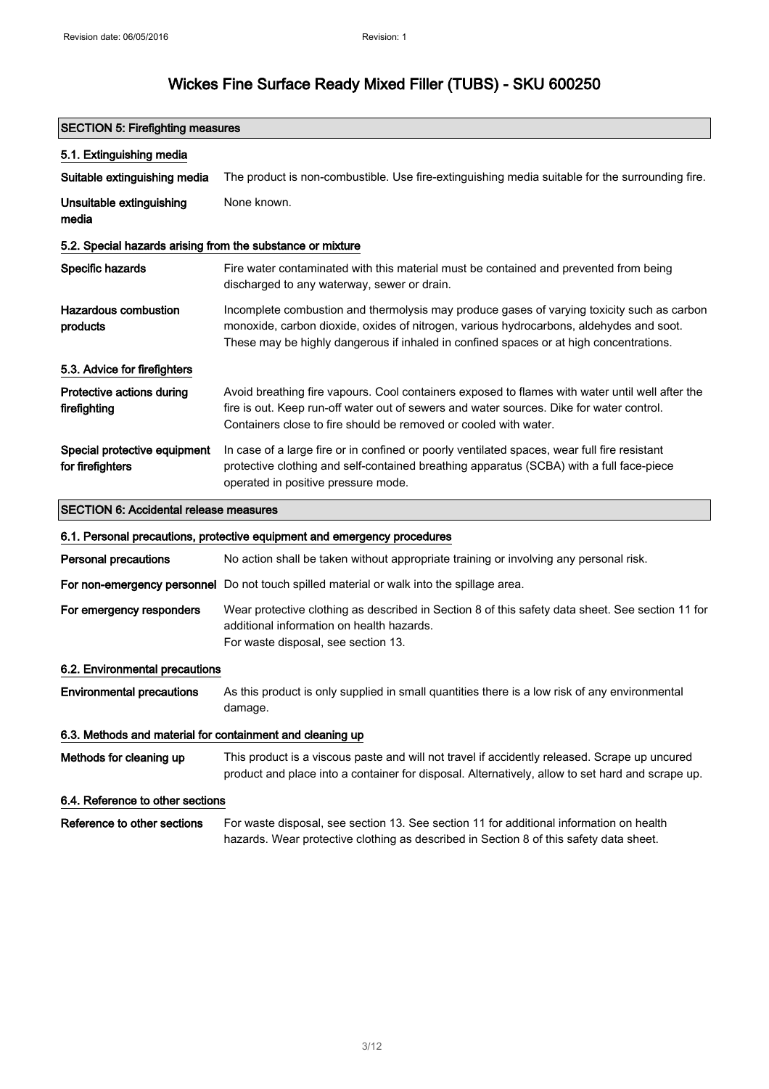### SECTION 5: Firefighting measures 5.1. Extinguishing media Suitable extinguishing media The product is non-combustible. Use fire-extinguishing media suitable for the surrounding fire. Unsuitable extinguishing media None known. 5.2. Special hazards arising from the substance or mixture Specific hazards Fire water contaminated with this material must be contained and prevented from being discharged to any waterway, sewer or drain. Hazardous combustion products Incomplete combustion and thermolysis may produce gases of varying toxicity such as carbon monoxide, carbon dioxide, oxides of nitrogen, various hydrocarbons, aldehydes and soot. These may be highly dangerous if inhaled in confined spaces or at high concentrations. 5.3. Advice for firefighters Protective actions during firefighting Avoid breathing fire vapours. Cool containers exposed to flames with water until well after the fire is out. Keep run-off water out of sewers and water sources. Dike for water control. Containers close to fire should be removed or cooled with water. Special protective equipment for firefighters In case of a large fire or in confined or poorly ventilated spaces, wear full fire resistant protective clothing and self-contained breathing apparatus (SCBA) with a full face-piece operated in positive pressure mode. SECTION 6: Accidental release measures 6.1. Personal precautions, protective equipment and emergency procedures Personal precautions No action shall be taken without appropriate training or involving any personal risk. For non-emergency personnel Do not touch spilled material or walk into the spillage area. For emergency responders Wear protective clothing as described in Section 8 of this safety data sheet. See section 11 for additional information on health hazards. For waste disposal, see section 13. 6.2. Environmental precautions Environmental precautions As this product is only supplied in small quantities there is a low risk of any environmental damage. 6.3. Methods and material for containment and cleaning up Methods for cleaning up This product is a viscous paste and will not travel if accidently released. Scrape up uncured product and place into a container for disposal. Alternatively, allow to set hard and scrape up.

#### 6.4. Reference to other sections

Reference to other sections For waste disposal, see section 13. See section 11 for additional information on health hazards. Wear protective clothing as described in Section 8 of this safety data sheet.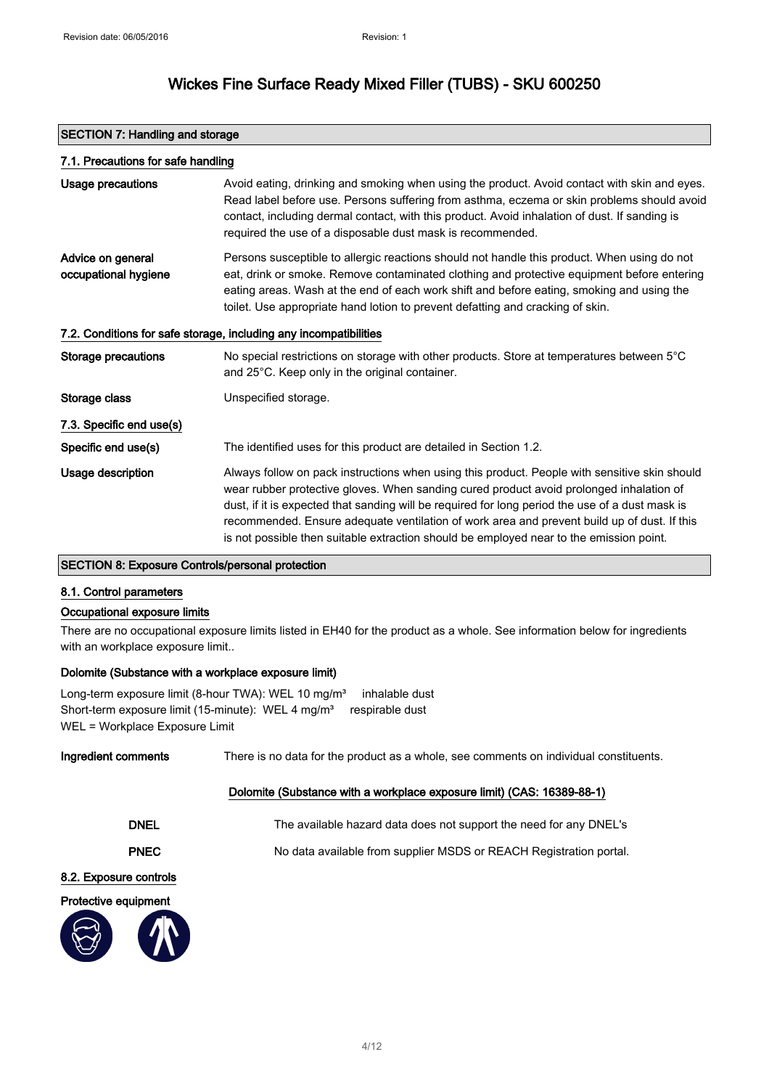| <b>SECTION 7: Handling and storage</b>    |                                                                                                                                                                                                                                                                                                                                                                                                                                                                                       |  |  |
|-------------------------------------------|---------------------------------------------------------------------------------------------------------------------------------------------------------------------------------------------------------------------------------------------------------------------------------------------------------------------------------------------------------------------------------------------------------------------------------------------------------------------------------------|--|--|
|                                           | 7.1. Precautions for safe handling                                                                                                                                                                                                                                                                                                                                                                                                                                                    |  |  |
| <b>Usage precautions</b>                  | Avoid eating, drinking and smoking when using the product. Avoid contact with skin and eyes.<br>Read label before use. Persons suffering from asthma, eczema or skin problems should avoid<br>contact, including dermal contact, with this product. Avoid inhalation of dust. If sanding is<br>required the use of a disposable dust mask is recommended.                                                                                                                             |  |  |
| Advice on general<br>occupational hygiene | Persons susceptible to allergic reactions should not handle this product. When using do not<br>eat, drink or smoke. Remove contaminated clothing and protective equipment before entering<br>eating areas. Wash at the end of each work shift and before eating, smoking and using the<br>toilet. Use appropriate hand lotion to prevent defatting and cracking of skin.                                                                                                              |  |  |
|                                           | 7.2. Conditions for safe storage, including any incompatibilities                                                                                                                                                                                                                                                                                                                                                                                                                     |  |  |
| Storage precautions                       | No special restrictions on storage with other products. Store at temperatures between 5°C<br>and 25°C. Keep only in the original container.                                                                                                                                                                                                                                                                                                                                           |  |  |
| Storage class                             | Unspecified storage.                                                                                                                                                                                                                                                                                                                                                                                                                                                                  |  |  |
| 7.3. Specific end use(s)                  |                                                                                                                                                                                                                                                                                                                                                                                                                                                                                       |  |  |
| Specific end use(s)                       | The identified uses for this product are detailed in Section 1.2.                                                                                                                                                                                                                                                                                                                                                                                                                     |  |  |
| Usage description                         | Always follow on pack instructions when using this product. People with sensitive skin should<br>wear rubber protective gloves. When sanding cured product avoid prolonged inhalation of<br>dust, if it is expected that sanding will be required for long period the use of a dust mask is<br>recommended. Ensure adequate ventilation of work area and prevent build up of dust. If this<br>is not possible then suitable extraction should be employed near to the emission point. |  |  |

### SECTION 8: Exposure Controls/personal protection

#### 8.1. Control parameters

#### Occupational exposure limits

There are no occupational exposure limits listed in EH40 for the product as a whole. See information below for ingredients with an workplace exposure limit..

### Dolomite (Substance with a workplace exposure limit)

Long-term exposure limit (8-hour TWA): WEL 10 mg/m<sup>3</sup> inhalable dust Short-term exposure limit (15-minute): WEL 4 mg/m<sup>3</sup> respirable dust WEL = Workplace Exposure Limit

| Ingredient comments    | There is no data for the product as a whole, see comments on individual constituents. |
|------------------------|---------------------------------------------------------------------------------------|
|                        | Dolomite (Substance with a workplace exposure limit) (CAS: 16389-88-1)                |
| <b>DNEL</b>            | The available hazard data does not support the need for any DNEL's                    |
| <b>PNEC</b>            | No data available from supplier MSDS or REACH Registration portal.                    |
| 8.2. Exposure controls |                                                                                       |
| Protective equipment   |                                                                                       |
|                        |                                                                                       |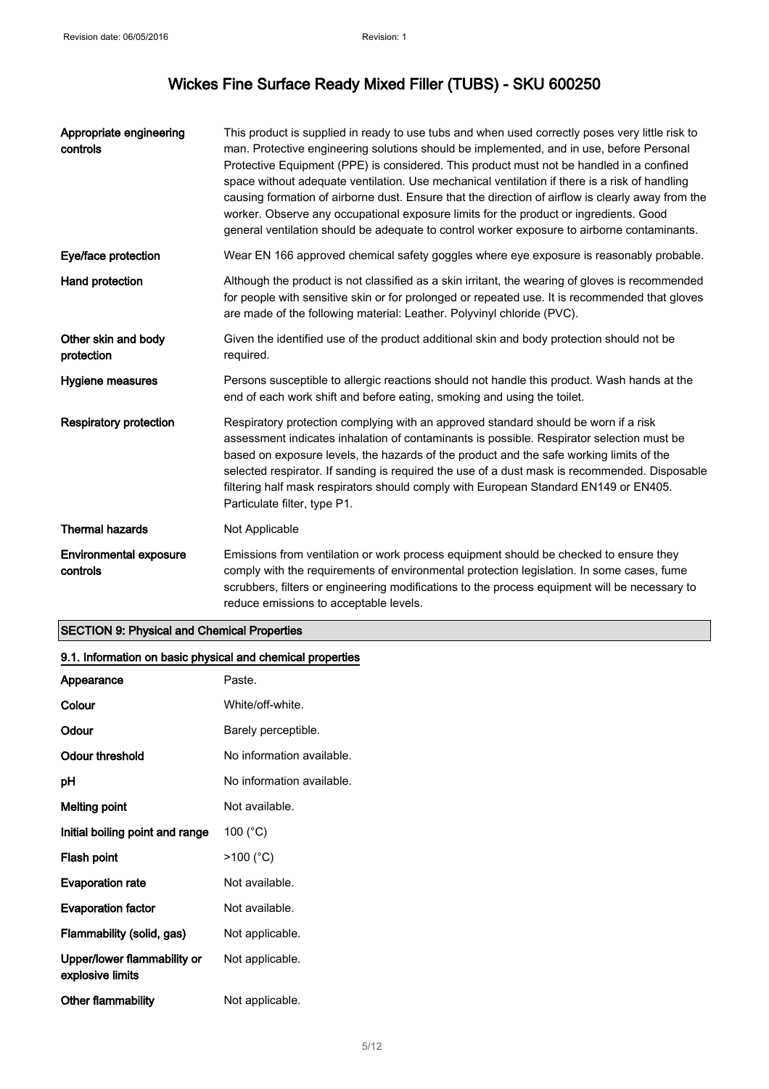| Appropriate engineering<br>controls       | This product is supplied in ready to use tubs and when used correctly poses very little risk to<br>man. Protective engineering solutions should be implemented, and in use, before Personal<br>Protective Equipment (PPE) is considered. This product must not be handled in a confined<br>space without adequate ventilation. Use mechanical ventilation if there is a risk of handling<br>causing formation of airborne dust. Ensure that the direction of airflow is clearly away from the<br>worker. Observe any occupational exposure limits for the product or ingredients. Good<br>general ventilation should be adequate to control worker exposure to airborne contaminants. |
|-------------------------------------------|---------------------------------------------------------------------------------------------------------------------------------------------------------------------------------------------------------------------------------------------------------------------------------------------------------------------------------------------------------------------------------------------------------------------------------------------------------------------------------------------------------------------------------------------------------------------------------------------------------------------------------------------------------------------------------------|
| Eye/face protection                       | Wear EN 166 approved chemical safety goggles where eye exposure is reasonably probable.                                                                                                                                                                                                                                                                                                                                                                                                                                                                                                                                                                                               |
| Hand protection                           | Although the product is not classified as a skin irritant, the wearing of gloves is recommended<br>for people with sensitive skin or for prolonged or repeated use. It is recommended that gloves<br>are made of the following material: Leather. Polyvinyl chloride (PVC).                                                                                                                                                                                                                                                                                                                                                                                                           |
| Other skin and body<br>protection         | Given the identified use of the product additional skin and body protection should not be<br>required.                                                                                                                                                                                                                                                                                                                                                                                                                                                                                                                                                                                |
| Hygiene measures                          | Persons susceptible to allergic reactions should not handle this product. Wash hands at the<br>end of each work shift and before eating, smoking and using the toilet.                                                                                                                                                                                                                                                                                                                                                                                                                                                                                                                |
| <b>Respiratory protection</b>             | Respiratory protection complying with an approved standard should be worn if a risk<br>assessment indicates inhalation of contaminants is possible. Respirator selection must be<br>based on exposure levels, the hazards of the product and the safe working limits of the<br>selected respirator. If sanding is required the use of a dust mask is recommended. Disposable<br>filtering half mask respirators should comply with European Standard EN149 or EN405.<br>Particulate filter, type P1.                                                                                                                                                                                  |
| <b>Thermal hazards</b>                    | Not Applicable                                                                                                                                                                                                                                                                                                                                                                                                                                                                                                                                                                                                                                                                        |
| <b>Environmental exposure</b><br>controls | Emissions from ventilation or work process equipment should be checked to ensure they<br>comply with the requirements of environmental protection legislation. In some cases, fume<br>scrubbers, filters or engineering modifications to the process equipment will be necessary to<br>reduce emissions to acceptable levels.                                                                                                                                                                                                                                                                                                                                                         |

### SECTION 9: Physical and Chemical Properties

| 9.1. Information on basic physical and chemical properties |                           |  |
|------------------------------------------------------------|---------------------------|--|
| Appearance                                                 | Paste.                    |  |
| Colour                                                     | White/off-white.          |  |
| Odour                                                      | Barely perceptible.       |  |
| Odour threshold                                            | No information available. |  |
| pH                                                         | No information available. |  |
| <b>Melting point</b>                                       | Not available.            |  |
| Initial boiling point and range                            | 100 $(^{\circ}C)$         |  |
| Flash point                                                | $>100$ (°C)               |  |
| <b>Evaporation rate</b>                                    | Not available.            |  |
| <b>Evaporation factor</b>                                  | Not available.            |  |
| Flammability (solid, gas)                                  | Not applicable.           |  |
| Upper/lower flammability or<br>explosive limits            | Not applicable.           |  |
| Other flammability                                         | Not applicable.           |  |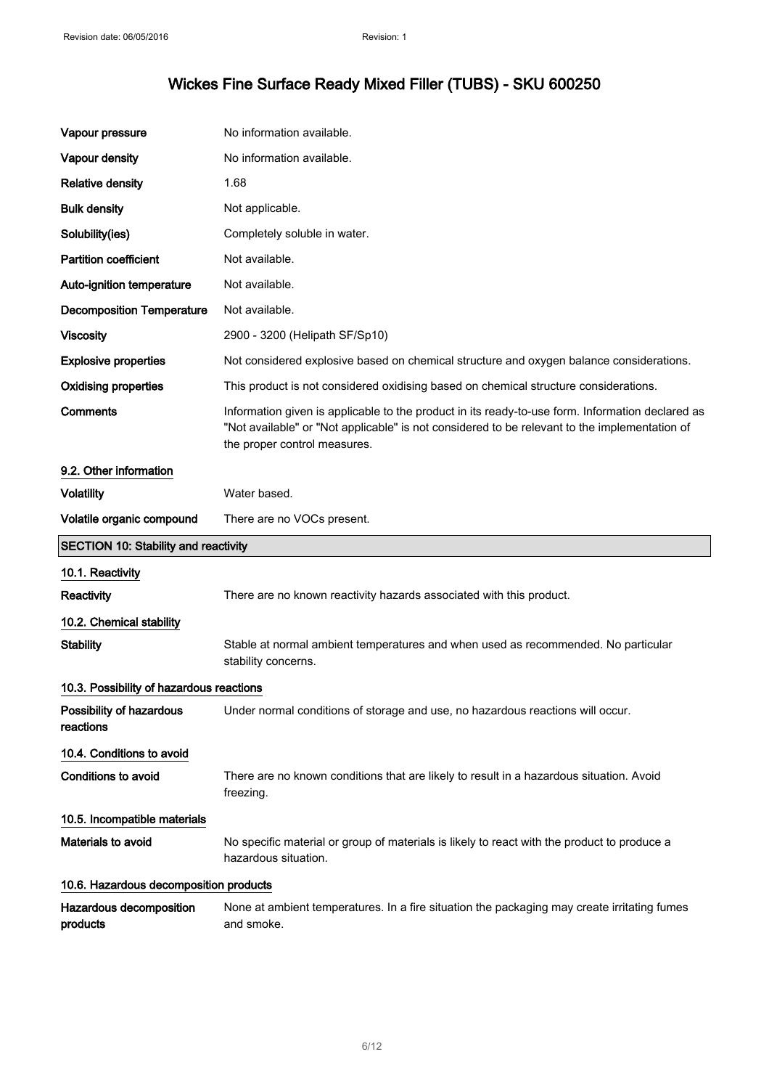| Vapour pressure                             | No information available.                                                                                                                                                                                                         |
|---------------------------------------------|-----------------------------------------------------------------------------------------------------------------------------------------------------------------------------------------------------------------------------------|
| Vapour density                              | No information available.                                                                                                                                                                                                         |
| <b>Relative density</b>                     | 1.68                                                                                                                                                                                                                              |
| <b>Bulk density</b>                         | Not applicable.                                                                                                                                                                                                                   |
| Solubility(ies)                             | Completely soluble in water.                                                                                                                                                                                                      |
| <b>Partition coefficient</b>                | Not available.                                                                                                                                                                                                                    |
| Auto-ignition temperature                   | Not available.                                                                                                                                                                                                                    |
| <b>Decomposition Temperature</b>            | Not available.                                                                                                                                                                                                                    |
| <b>Viscosity</b>                            | 2900 - 3200 (Helipath SF/Sp10)                                                                                                                                                                                                    |
| <b>Explosive properties</b>                 | Not considered explosive based on chemical structure and oxygen balance considerations.                                                                                                                                           |
| <b>Oxidising properties</b>                 | This product is not considered oxidising based on chemical structure considerations.                                                                                                                                              |
| <b>Comments</b>                             | Information given is applicable to the product in its ready-to-use form. Information declared as<br>"Not available" or "Not applicable" is not considered to be relevant to the implementation of<br>the proper control measures. |
| 9.2. Other information                      |                                                                                                                                                                                                                                   |
| <b>Volatility</b>                           | Water based.                                                                                                                                                                                                                      |
| Volatile organic compound                   | There are no VOCs present.                                                                                                                                                                                                        |
|                                             |                                                                                                                                                                                                                                   |
| <b>SECTION 10: Stability and reactivity</b> |                                                                                                                                                                                                                                   |
| 10.1. Reactivity                            |                                                                                                                                                                                                                                   |
| Reactivity                                  | There are no known reactivity hazards associated with this product.                                                                                                                                                               |
| 10.2. Chemical stability                    |                                                                                                                                                                                                                                   |
| <b>Stability</b>                            | Stable at normal ambient temperatures and when used as recommended. No particular<br>stability concerns.                                                                                                                          |
| 10.3. Possibility of hazardous reactions    |                                                                                                                                                                                                                                   |
| Possibility of hazardous<br>reactions       | Under normal conditions of storage and use, no hazardous reactions will occur.                                                                                                                                                    |
| 10.4. Conditions to avoid                   |                                                                                                                                                                                                                                   |
| Conditions to avoid                         | There are no known conditions that are likely to result in a hazardous situation. Avoid<br>freezing.                                                                                                                              |
| 10.5. Incompatible materials                |                                                                                                                                                                                                                                   |
| Materials to avoid                          | No specific material or group of materials is likely to react with the product to produce a<br>hazardous situation.                                                                                                               |
| 10.6. Hazardous decomposition products      |                                                                                                                                                                                                                                   |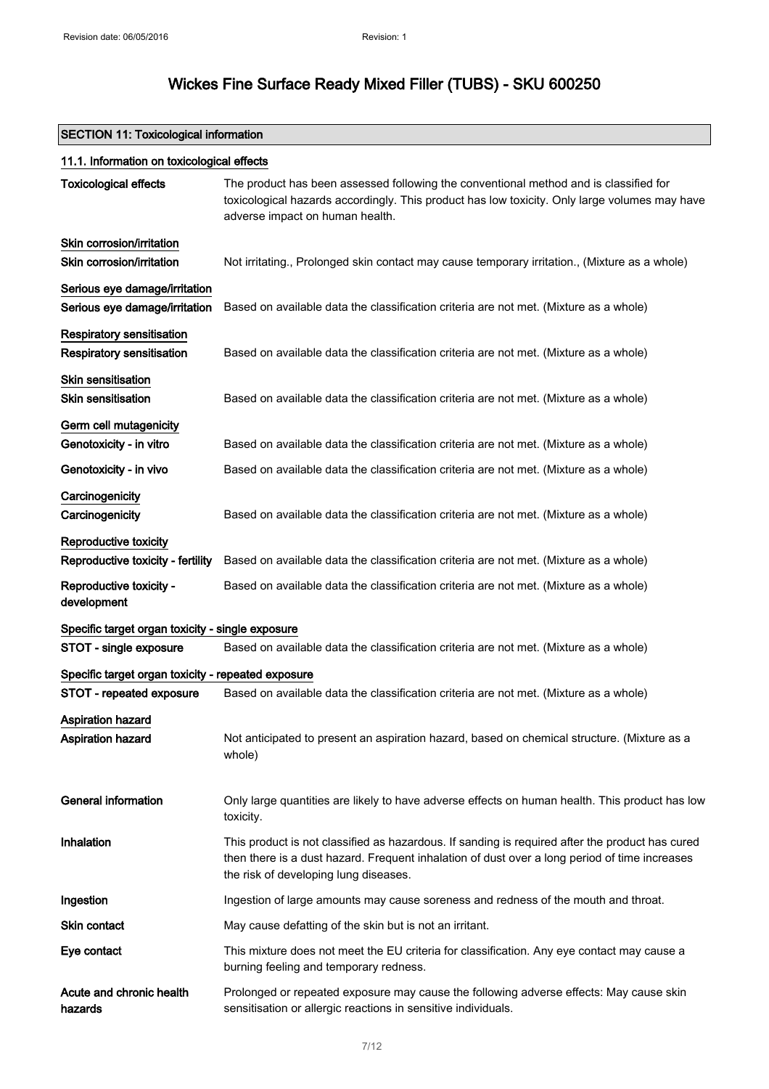### SECTION 11: Toxicological information

| 11.1. Information on toxicological effects                           |                                                                                                                                                                                                                                           |  |  |
|----------------------------------------------------------------------|-------------------------------------------------------------------------------------------------------------------------------------------------------------------------------------------------------------------------------------------|--|--|
| <b>Toxicological effects</b>                                         | The product has been assessed following the conventional method and is classified for<br>toxicological hazards accordingly. This product has low toxicity. Only large volumes may have<br>adverse impact on human health.                 |  |  |
| Skin corrosion/irritation<br>Skin corrosion/irritation               | Not irritating., Prolonged skin contact may cause temporary irritation., (Mixture as a whole)                                                                                                                                             |  |  |
| Serious eye damage/irritation<br>Serious eye damage/irritation       | Based on available data the classification criteria are not met. (Mixture as a whole)                                                                                                                                                     |  |  |
| <b>Respiratory sensitisation</b><br><b>Respiratory sensitisation</b> | Based on available data the classification criteria are not met. (Mixture as a whole)                                                                                                                                                     |  |  |
| <b>Skin sensitisation</b><br><b>Skin sensitisation</b>               | Based on available data the classification criteria are not met. (Mixture as a whole)                                                                                                                                                     |  |  |
| Germ cell mutagenicity<br>Genotoxicity - in vitro                    | Based on available data the classification criteria are not met. (Mixture as a whole)                                                                                                                                                     |  |  |
| Genotoxicity - in vivo                                               | Based on available data the classification criteria are not met. (Mixture as a whole)                                                                                                                                                     |  |  |
| Carcinogenicity<br>Carcinogenicity                                   | Based on available data the classification criteria are not met. (Mixture as a whole)                                                                                                                                                     |  |  |
| Reproductive toxicity<br>Reproductive toxicity - fertility           | Based on available data the classification criteria are not met. (Mixture as a whole)                                                                                                                                                     |  |  |
| Reproductive toxicity -<br>development                               | Based on available data the classification criteria are not met. (Mixture as a whole)                                                                                                                                                     |  |  |
| Specific target organ toxicity - single exposure                     |                                                                                                                                                                                                                                           |  |  |
| STOT - single exposure                                               | Based on available data the classification criteria are not met. (Mixture as a whole)                                                                                                                                                     |  |  |
| Specific target organ toxicity - repeated exposure                   |                                                                                                                                                                                                                                           |  |  |
| STOT - repeated exposure                                             | Based on available data the classification criteria are not met. (Mixture as a whole)                                                                                                                                                     |  |  |
| <b>Aspiration hazard</b><br>Aspiration hazard                        | Not anticipated to present an aspiration hazard, based on chemical structure. (Mixture as a<br>whole)                                                                                                                                     |  |  |
| <b>General information</b>                                           | Only large quantities are likely to have adverse effects on human health. This product has low<br>toxicity.                                                                                                                               |  |  |
| Inhalation                                                           | This product is not classified as hazardous. If sanding is required after the product has cured<br>then there is a dust hazard. Frequent inhalation of dust over a long period of time increases<br>the risk of developing lung diseases. |  |  |
| Ingestion                                                            | Ingestion of large amounts may cause soreness and redness of the mouth and throat.                                                                                                                                                        |  |  |
| Skin contact                                                         | May cause defatting of the skin but is not an irritant.                                                                                                                                                                                   |  |  |
| Eye contact                                                          | This mixture does not meet the EU criteria for classification. Any eye contact may cause a<br>burning feeling and temporary redness.                                                                                                      |  |  |
| Acute and chronic health<br>hazards                                  | Prolonged or repeated exposure may cause the following adverse effects: May cause skin<br>sensitisation or allergic reactions in sensitive individuals.                                                                                   |  |  |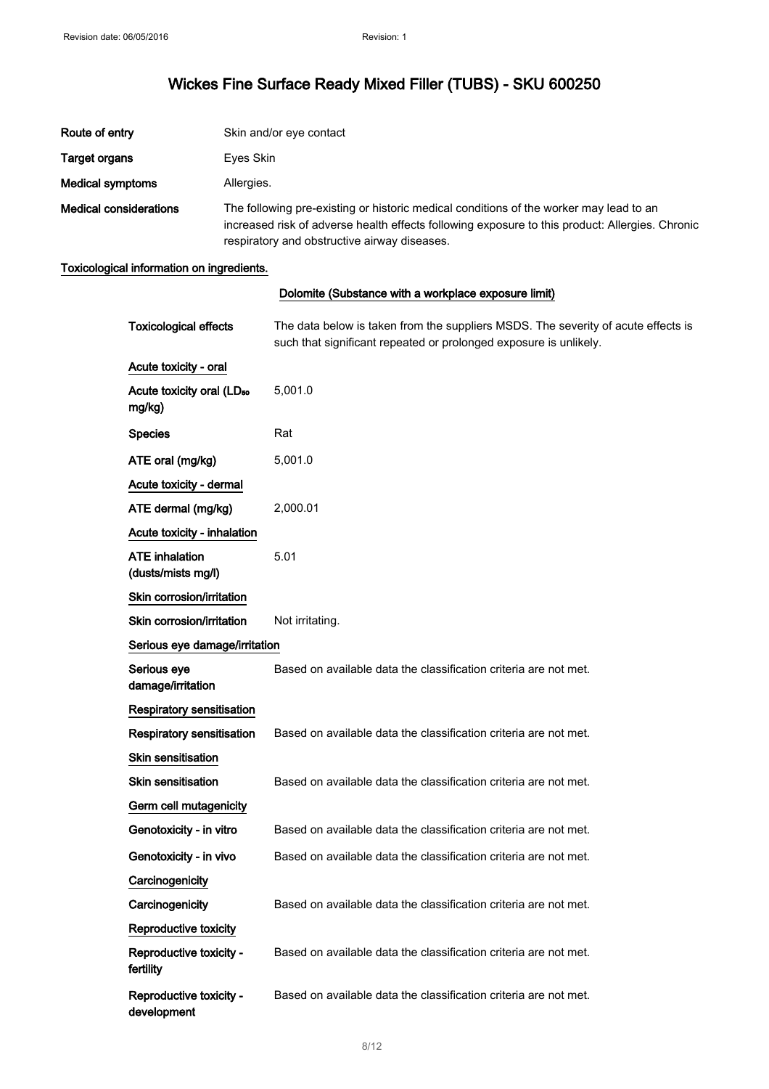| Route of entry                | Skin and/or eye contact                                                                                                                                                                                                                   |
|-------------------------------|-------------------------------------------------------------------------------------------------------------------------------------------------------------------------------------------------------------------------------------------|
| <b>Target organs</b>          | Eyes Skin                                                                                                                                                                                                                                 |
| Medical symptoms              | Allergies.                                                                                                                                                                                                                                |
| <b>Medical considerations</b> | The following pre-existing or historic medical conditions of the worker may lead to an<br>increased risk of adverse health effects following exposure to this product: Allergies. Chronic<br>respiratory and obstructive airway diseases. |

### Toxicological information on ingredients.

|                                                 | Dolomite (Substance with a workplace exposure limit)                                                                                                   |
|-------------------------------------------------|--------------------------------------------------------------------------------------------------------------------------------------------------------|
| <b>Toxicological effects</b>                    | The data below is taken from the suppliers MSDS. The severity of acute effects is<br>such that significant repeated or prolonged exposure is unlikely. |
| Acute toxicity - oral                           |                                                                                                                                                        |
| Acute toxicity oral (LD <sub>50</sub><br>mg/kg) | 5,001.0                                                                                                                                                |
| <b>Species</b>                                  | Rat                                                                                                                                                    |
| ATE oral (mg/kg)                                | 5,001.0                                                                                                                                                |
| Acute toxicity - dermal                         |                                                                                                                                                        |
| ATE dermal (mg/kg)                              | 2,000.01                                                                                                                                               |
| Acute toxicity - inhalation                     |                                                                                                                                                        |
| <b>ATE</b> inhalation<br>(dusts/mists mg/l)     | 5.01                                                                                                                                                   |
| Skin corrosion/irritation                       |                                                                                                                                                        |
| Skin corrosion/irritation                       | Not irritating.                                                                                                                                        |
| Serious eye damage/irritation                   |                                                                                                                                                        |
| Serious eye<br>damage/irritation                | Based on available data the classification criteria are not met.                                                                                       |
| Respiratory sensitisation                       |                                                                                                                                                        |
| Respiratory sensitisation                       | Based on available data the classification criteria are not met.                                                                                       |
| <b>Skin sensitisation</b>                       |                                                                                                                                                        |
| <b>Skin sensitisation</b>                       | Based on available data the classification criteria are not met.                                                                                       |
| Germ cell mutagenicity                          |                                                                                                                                                        |
| Genotoxicity - in vitro                         | Based on available data the classification criteria are not met.                                                                                       |
| Genotoxicity - in vivo                          | Based on available data the classification criteria are not met.                                                                                       |
| Carcinogenicity                                 |                                                                                                                                                        |
| Carcinogenicity                                 | Based on available data the classification criteria are not met.                                                                                       |
| Reproductive toxicity                           |                                                                                                                                                        |
| Reproductive toxicity -<br>fertility            | Based on available data the classification criteria are not met.                                                                                       |
| Reproductive toxicity -<br>development          | Based on available data the classification criteria are not met.                                                                                       |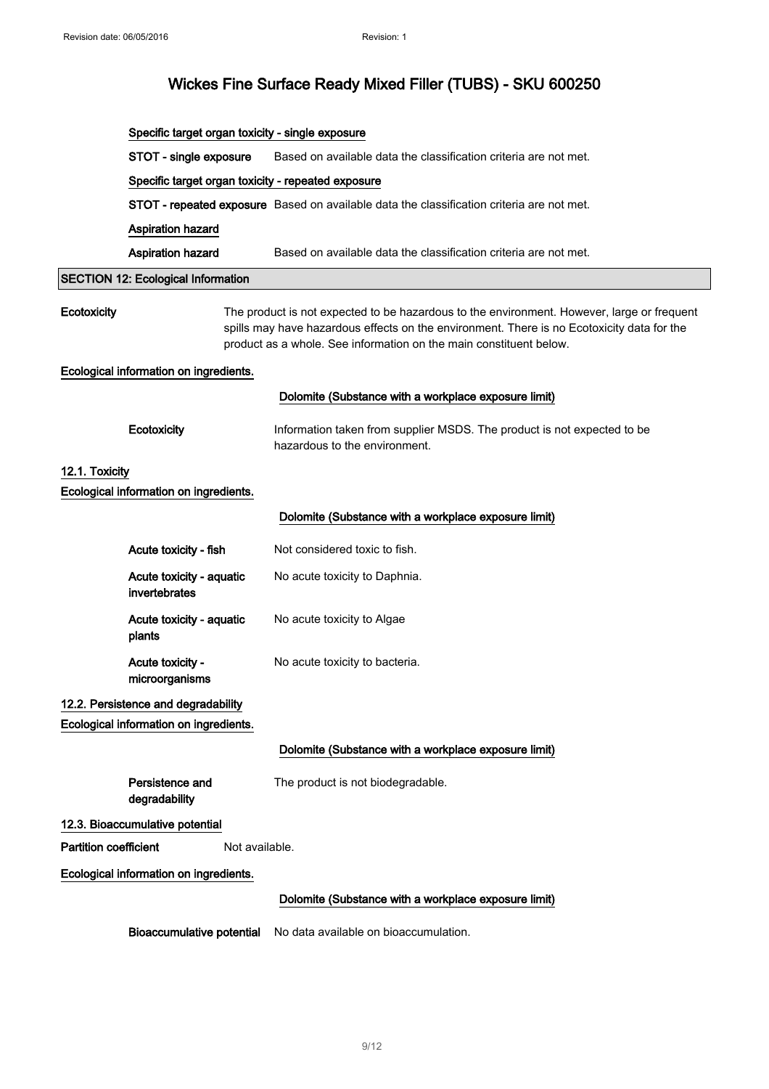|                              | Specific target organ toxicity - single exposure   |                                                                                                                                                                                                                                                                |
|------------------------------|----------------------------------------------------|----------------------------------------------------------------------------------------------------------------------------------------------------------------------------------------------------------------------------------------------------------------|
|                              | STOT - single exposure                             | Based on available data the classification criteria are not met.                                                                                                                                                                                               |
|                              | Specific target organ toxicity - repeated exposure |                                                                                                                                                                                                                                                                |
|                              |                                                    | STOT - repeated exposure Based on available data the classification criteria are not met.                                                                                                                                                                      |
|                              | <b>Aspiration hazard</b>                           |                                                                                                                                                                                                                                                                |
|                              | <b>Aspiration hazard</b>                           | Based on available data the classification criteria are not met.                                                                                                                                                                                               |
|                              | <b>SECTION 12: Ecological Information</b>          |                                                                                                                                                                                                                                                                |
| Ecotoxicity                  |                                                    | The product is not expected to be hazardous to the environment. However, large or frequent<br>spills may have hazardous effects on the environment. There is no Ecotoxicity data for the<br>product as a whole. See information on the main constituent below. |
|                              | Ecological information on ingredients.             |                                                                                                                                                                                                                                                                |
|                              |                                                    | Dolomite (Substance with a workplace exposure limit)                                                                                                                                                                                                           |
|                              | Ecotoxicity                                        | Information taken from supplier MSDS. The product is not expected to be<br>hazardous to the environment.                                                                                                                                                       |
| 12.1. Toxicity               |                                                    |                                                                                                                                                                                                                                                                |
|                              | Ecological information on ingredients.             |                                                                                                                                                                                                                                                                |
|                              |                                                    | Dolomite (Substance with a workplace exposure limit)                                                                                                                                                                                                           |
|                              | Acute toxicity - fish                              | Not considered toxic to fish.                                                                                                                                                                                                                                  |
|                              | Acute toxicity - aquatic<br>invertebrates          | No acute toxicity to Daphnia.                                                                                                                                                                                                                                  |
|                              | Acute toxicity - aquatic<br>plants                 | No acute toxicity to Algae                                                                                                                                                                                                                                     |
|                              | Acute toxicity -<br>microorganisms                 | No acute toxicity to bacteria.                                                                                                                                                                                                                                 |
|                              | 12.2. Persistence and degradability                |                                                                                                                                                                                                                                                                |
|                              | Ecological information on ingredients.             |                                                                                                                                                                                                                                                                |
|                              |                                                    | Dolomite (Substance with a workplace exposure limit)                                                                                                                                                                                                           |
|                              | Persistence and<br>degradability                   | The product is not biodegradable.                                                                                                                                                                                                                              |
|                              | 12.3. Bioaccumulative potential                    |                                                                                                                                                                                                                                                                |
| <b>Partition coefficient</b> | Not available.                                     |                                                                                                                                                                                                                                                                |
|                              | Ecological information on ingredients.             |                                                                                                                                                                                                                                                                |
|                              |                                                    | Dolomite (Substance with a workplace exposure limit)                                                                                                                                                                                                           |
|                              | <b>Bioaccumulative potential</b>                   | No data available on bioaccumulation.                                                                                                                                                                                                                          |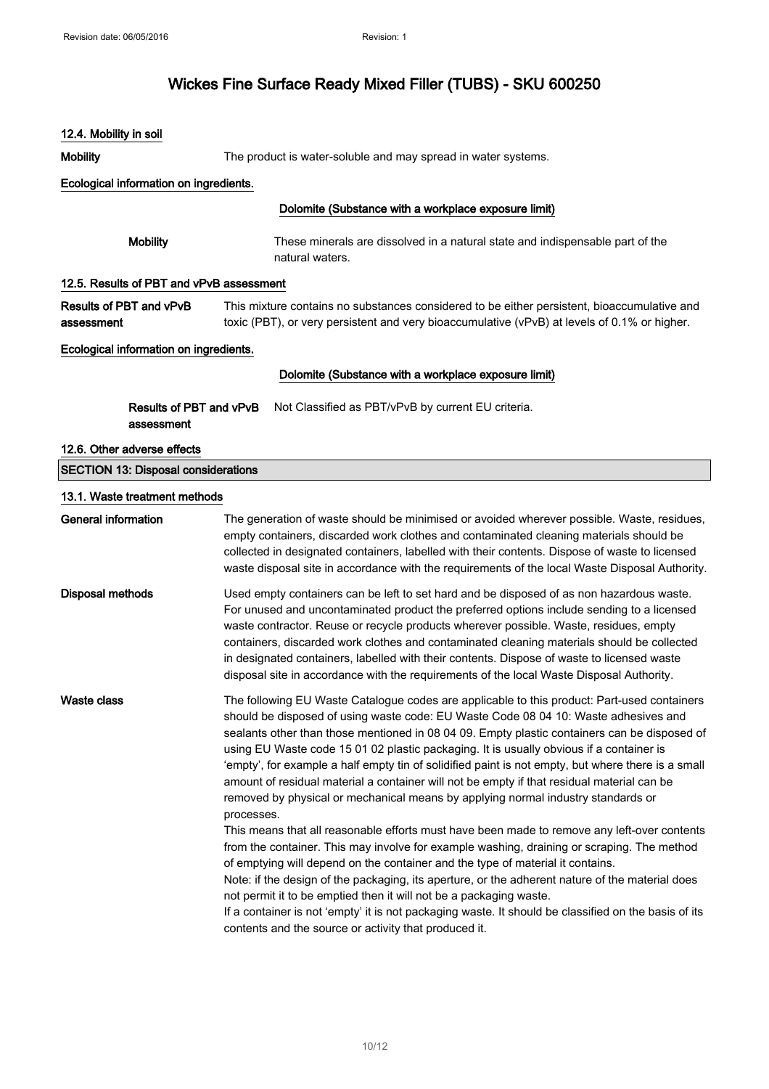| 12.4. Mobility in soil                     |                                                                                                                                                                                                                                                                                                                                                                                                                                                                                                                                                                                                                                                                                                                                                                                                                                                                                                                                                                                                                                                                                                                                                                                                                                                                                                              |  |  |  |
|--------------------------------------------|--------------------------------------------------------------------------------------------------------------------------------------------------------------------------------------------------------------------------------------------------------------------------------------------------------------------------------------------------------------------------------------------------------------------------------------------------------------------------------------------------------------------------------------------------------------------------------------------------------------------------------------------------------------------------------------------------------------------------------------------------------------------------------------------------------------------------------------------------------------------------------------------------------------------------------------------------------------------------------------------------------------------------------------------------------------------------------------------------------------------------------------------------------------------------------------------------------------------------------------------------------------------------------------------------------------|--|--|--|
| <b>Mobility</b>                            | The product is water-soluble and may spread in water systems.                                                                                                                                                                                                                                                                                                                                                                                                                                                                                                                                                                                                                                                                                                                                                                                                                                                                                                                                                                                                                                                                                                                                                                                                                                                |  |  |  |
| Ecological information on ingredients.     |                                                                                                                                                                                                                                                                                                                                                                                                                                                                                                                                                                                                                                                                                                                                                                                                                                                                                                                                                                                                                                                                                                                                                                                                                                                                                                              |  |  |  |
|                                            | Dolomite (Substance with a workplace exposure limit)                                                                                                                                                                                                                                                                                                                                                                                                                                                                                                                                                                                                                                                                                                                                                                                                                                                                                                                                                                                                                                                                                                                                                                                                                                                         |  |  |  |
| <b>Mobility</b>                            | These minerals are dissolved in a natural state and indispensable part of the<br>natural waters.                                                                                                                                                                                                                                                                                                                                                                                                                                                                                                                                                                                                                                                                                                                                                                                                                                                                                                                                                                                                                                                                                                                                                                                                             |  |  |  |
| 12.5. Results of PBT and vPvB assessment   |                                                                                                                                                                                                                                                                                                                                                                                                                                                                                                                                                                                                                                                                                                                                                                                                                                                                                                                                                                                                                                                                                                                                                                                                                                                                                                              |  |  |  |
| Results of PBT and vPvB<br>assessment      | This mixture contains no substances considered to be either persistent, bioaccumulative and<br>toxic (PBT), or very persistent and very bioaccumulative (vPvB) at levels of 0.1% or higher.                                                                                                                                                                                                                                                                                                                                                                                                                                                                                                                                                                                                                                                                                                                                                                                                                                                                                                                                                                                                                                                                                                                  |  |  |  |
| Ecological information on ingredients.     |                                                                                                                                                                                                                                                                                                                                                                                                                                                                                                                                                                                                                                                                                                                                                                                                                                                                                                                                                                                                                                                                                                                                                                                                                                                                                                              |  |  |  |
|                                            | Dolomite (Substance with a workplace exposure limit)                                                                                                                                                                                                                                                                                                                                                                                                                                                                                                                                                                                                                                                                                                                                                                                                                                                                                                                                                                                                                                                                                                                                                                                                                                                         |  |  |  |
| Results of PBT and vPvB<br>assessment      | Not Classified as PBT/vPvB by current EU criteria.                                                                                                                                                                                                                                                                                                                                                                                                                                                                                                                                                                                                                                                                                                                                                                                                                                                                                                                                                                                                                                                                                                                                                                                                                                                           |  |  |  |
| 12.6. Other adverse effects                |                                                                                                                                                                                                                                                                                                                                                                                                                                                                                                                                                                                                                                                                                                                                                                                                                                                                                                                                                                                                                                                                                                                                                                                                                                                                                                              |  |  |  |
| <b>SECTION 13: Disposal considerations</b> |                                                                                                                                                                                                                                                                                                                                                                                                                                                                                                                                                                                                                                                                                                                                                                                                                                                                                                                                                                                                                                                                                                                                                                                                                                                                                                              |  |  |  |
| 13.1. Waste treatment methods              |                                                                                                                                                                                                                                                                                                                                                                                                                                                                                                                                                                                                                                                                                                                                                                                                                                                                                                                                                                                                                                                                                                                                                                                                                                                                                                              |  |  |  |
| <b>General information</b>                 | The generation of waste should be minimised or avoided wherever possible. Waste, residues,<br>empty containers, discarded work clothes and contaminated cleaning materials should be<br>collected in designated containers, labelled with their contents. Dispose of waste to licensed<br>waste disposal site in accordance with the requirements of the local Waste Disposal Authority.                                                                                                                                                                                                                                                                                                                                                                                                                                                                                                                                                                                                                                                                                                                                                                                                                                                                                                                     |  |  |  |
| <b>Disposal methods</b>                    | Used empty containers can be left to set hard and be disposed of as non hazardous waste.<br>For unused and uncontaminated product the preferred options include sending to a licensed<br>waste contractor. Reuse or recycle products wherever possible. Waste, residues, empty<br>containers, discarded work clothes and contaminated cleaning materials should be collected<br>in designated containers, labelled with their contents. Dispose of waste to licensed waste<br>disposal site in accordance with the requirements of the local Waste Disposal Authority.                                                                                                                                                                                                                                                                                                                                                                                                                                                                                                                                                                                                                                                                                                                                       |  |  |  |
| <b>Waste class</b>                         | The following EU Waste Catalogue codes are applicable to this product: Part-used containers<br>should be disposed of using waste code: EU Waste Code 08 04 10: Waste adhesives and<br>sealants other than those mentioned in 08 04 09. Empty plastic containers can be disposed of<br>using EU Waste code 15 01 02 plastic packaging. It is usually obvious if a container is<br>'empty', for example a half empty tin of solidified paint is not empty, but where there is a small<br>amount of residual material a container will not be empty if that residual material can be<br>removed by physical or mechanical means by applying normal industry standards or<br>processes.<br>This means that all reasonable efforts must have been made to remove any left-over contents<br>from the container. This may involve for example washing, draining or scraping. The method<br>of emptying will depend on the container and the type of material it contains.<br>Note: if the design of the packaging, its aperture, or the adherent nature of the material does<br>not permit it to be emptied then it will not be a packaging waste.<br>If a container is not 'empty' it is not packaging waste. It should be classified on the basis of its<br>contents and the source or activity that produced it. |  |  |  |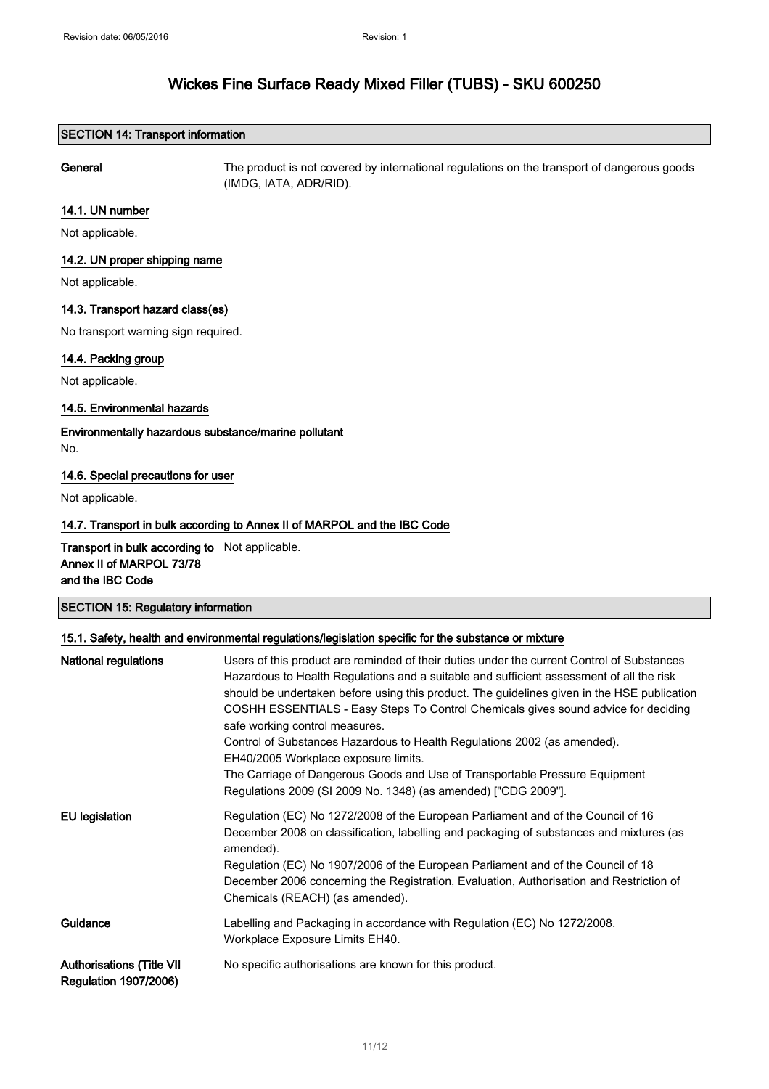### SECTION 14: Transport information

General The product is not covered by international regulations on the transport of dangerous goods (IMDG, IATA, ADR/RID).

### 14.1. UN number

Not applicable.

#### 14.2. UN proper shipping name

Not applicable.

### 14.3. Transport hazard class(es)

No transport warning sign required.

#### 14.4. Packing group

Not applicable.

### 14.5. Environmental hazards

### Environmentally hazardous substance/marine pollutant No.

### 14.6. Special precautions for user

Not applicable.

### 14.7. Transport in bulk according to Annex II of MARPOL and the IBC Code

Transport in bulk according to Not applicable. Annex II of MARPOL 73/78 and the IBC Code

### SECTION 15: Regulatory information

#### 15.1. Safety, health and environmental regulations/legislation specific for the substance or mixture

| National regulations                                             | Users of this product are reminded of their duties under the current Control of Substances<br>Hazardous to Health Regulations and a suitable and sufficient assessment of all the risk<br>should be undertaken before using this product. The guidelines given in the HSE publication<br>COSHH ESSENTIALS - Easy Steps To Control Chemicals gives sound advice for deciding<br>safe working control measures.<br>Control of Substances Hazardous to Health Regulations 2002 (as amended).<br>EH40/2005 Workplace exposure limits.<br>The Carriage of Dangerous Goods and Use of Transportable Pressure Equipment<br>Regulations 2009 (SI 2009 No. 1348) (as amended) ["CDG 2009"]. |
|------------------------------------------------------------------|------------------------------------------------------------------------------------------------------------------------------------------------------------------------------------------------------------------------------------------------------------------------------------------------------------------------------------------------------------------------------------------------------------------------------------------------------------------------------------------------------------------------------------------------------------------------------------------------------------------------------------------------------------------------------------|
| <b>EU</b> legislation                                            | Regulation (EC) No 1272/2008 of the European Parliament and of the Council of 16<br>December 2008 on classification, labelling and packaging of substances and mixtures (as<br>amended).<br>Regulation (EC) No 1907/2006 of the European Parliament and of the Council of 18<br>December 2006 concerning the Registration, Evaluation, Authorisation and Restriction of<br>Chemicals (REACH) (as amended).                                                                                                                                                                                                                                                                         |
| Guidance                                                         | Labelling and Packaging in accordance with Regulation (EC) No 1272/2008.<br>Workplace Exposure Limits EH40.                                                                                                                                                                                                                                                                                                                                                                                                                                                                                                                                                                        |
| <b>Authorisations (Title VII</b><br><b>Regulation 1907/2006)</b> | No specific authorisations are known for this product.                                                                                                                                                                                                                                                                                                                                                                                                                                                                                                                                                                                                                             |